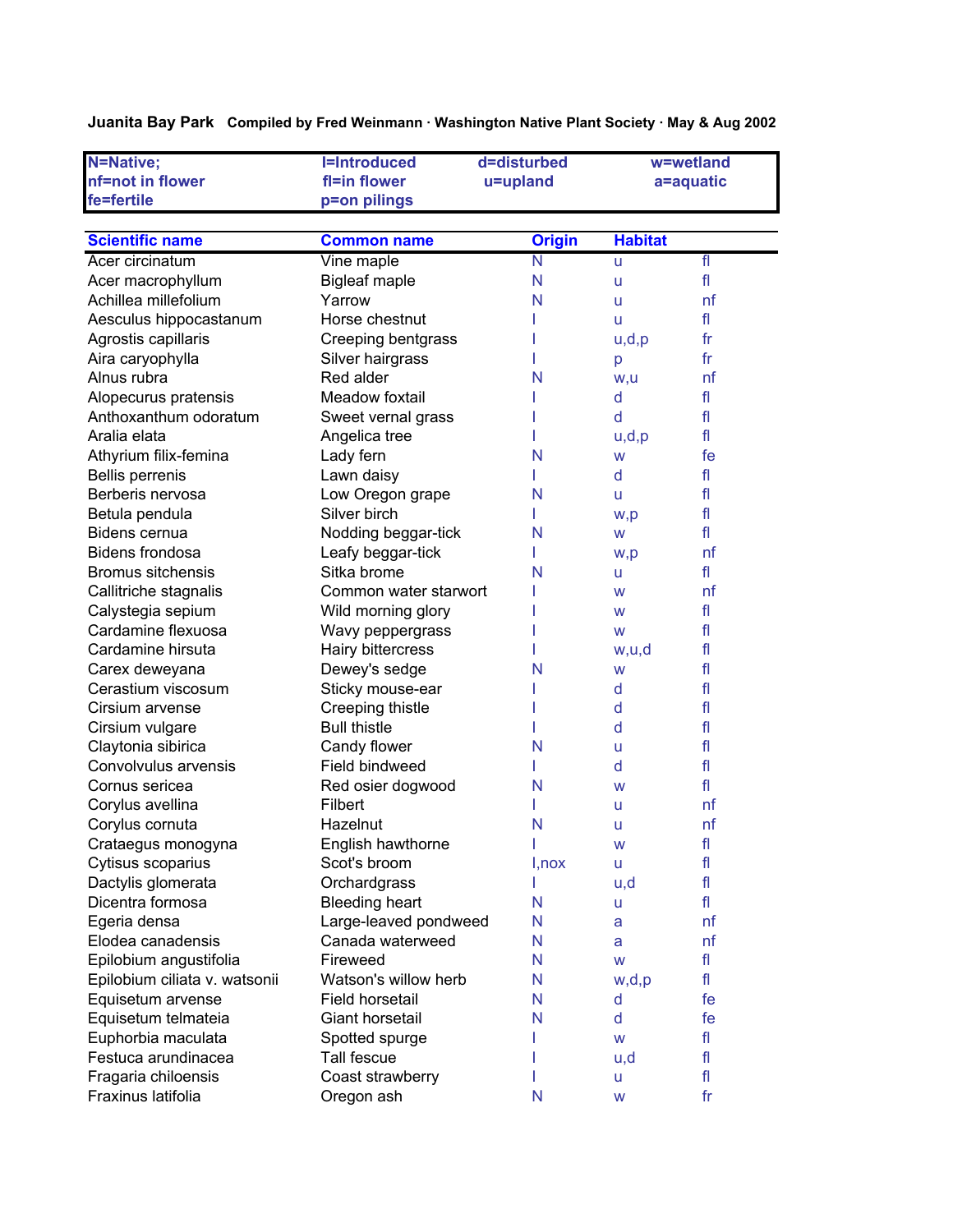**Juanita Bay Park Compiled by Fred Weinmann · Washington Native Plant Society · May & Aug 2002**

| N=Native;                     | <b>I=Introduced</b>   | d=disturbed     |                | w=wetland                |
|-------------------------------|-----------------------|-----------------|----------------|--------------------------|
| nf=not in flower              | fl=in flower          | u=upland        |                | a=aquatic                |
| fe=fertile                    | p=on pilings          |                 |                |                          |
|                               |                       |                 |                |                          |
| <b>Scientific name</b>        | <b>Common name</b>    | <b>Origin</b>   | <b>Habitat</b> |                          |
| Acer circinatum               | Vine maple            | $\mathsf{N}$    | u              | $\overline{\mathrm{fl}}$ |
| Acer macrophyllum             | <b>Bigleaf maple</b>  | N               | u              | fl                       |
| Achillea millefolium          | Yarrow                | N               | u              | nf                       |
| Aesculus hippocastanum        | Horse chestnut        |                 | u              | fl                       |
| Agrostis capillaris           | Creeping bentgrass    |                 | u,d,p          | f <sub>r</sub>           |
| Aira caryophylla              | Silver hairgrass      |                 | p              | fr                       |
| Alnus rubra                   | Red alder             | N               | w,u            | nf                       |
| Alopecurus pratensis          | Meadow foxtail        |                 | d              | fl                       |
| Anthoxanthum odoratum         | Sweet vernal grass    |                 | d              | fl                       |
| Aralia elata                  | Angelica tree         |                 | u,d,p          | fl                       |
| Athyrium filix-femina         | Lady fern             | N               | W              | fe                       |
| <b>Bellis perrenis</b>        | Lawn daisy            |                 | d              | fl                       |
| Berberis nervosa              | Low Oregon grape      | N               | u              | fl                       |
| Betula pendula                | Silver birch          |                 | w,p            | fl                       |
| Bidens cernua                 | Nodding beggar-tick   | N               | W              | fl                       |
| Bidens frondosa               | Leafy beggar-tick     |                 | w,p            | nf                       |
| <b>Bromus sitchensis</b>      | Sitka brome           | N               | u              | fl                       |
| Callitriche stagnalis         | Common water starwort |                 | W              | nf                       |
| Calystegia sepium             | Wild morning glory    |                 | W              | fl                       |
| Cardamine flexuosa            | Wavy peppergrass      |                 | W              | fl                       |
| Cardamine hirsuta             | Hairy bittercress     |                 | w,u,d          | fl                       |
| Carex deweyana                | Dewey's sedge         | N               | W              | fl                       |
| Cerastium viscosum            | Sticky mouse-ear      |                 | d              | fl                       |
| Cirsium arvense               | Creeping thistle      |                 | d              | fl                       |
| Cirsium vulgare               | <b>Bull thistle</b>   |                 | d              | fl                       |
| Claytonia sibirica            | Candy flower          | N               | u              | fl                       |
| Convolvulus arvensis          | Field bindweed        |                 | d              | fl                       |
| Cornus sericea                | Red osier dogwood     | N               | W              | fl                       |
| Corylus avellina              | Filbert               |                 | u              | nf                       |
| Corylus cornuta               | Hazelnut              | N               | u              | nf                       |
| Crataegus monogyna            | English hawthorne     | I               | W              | f                        |
| Cytisus scoparius             | Scot's broom          | $I, \text{nox}$ | u              | fl                       |
| Dactylis glomerata            | Orchardgrass          | ı               | u,d            | fl                       |
| Dicentra formosa              | <b>Bleeding heart</b> | N               | u              | fl                       |
| Egeria densa                  | Large-leaved pondweed | N               | a              | nf                       |
| Elodea canadensis             | Canada waterweed      | N               | a              | nf                       |
| Epilobium angustifolia        | Fireweed              | N               | W              | fl                       |
| Epilobium ciliata v. watsonii | Watson's willow herb  | N               | w,d,p          | fl                       |
| Equisetum arvense             | Field horsetail       | N               | d              | fe                       |
| Equisetum telmateia           | Giant horsetail       | N               | d              | fe                       |
| Euphorbia maculata            | Spotted spurge        |                 | W              | fl                       |
| Festuca arundinacea           | Tall fescue           |                 | u,d            | fl                       |
| Fragaria chiloensis           | Coast strawberry      |                 | u              | fl                       |
| Fraxinus latifolia            | Oregon ash            | N               | W              | fr                       |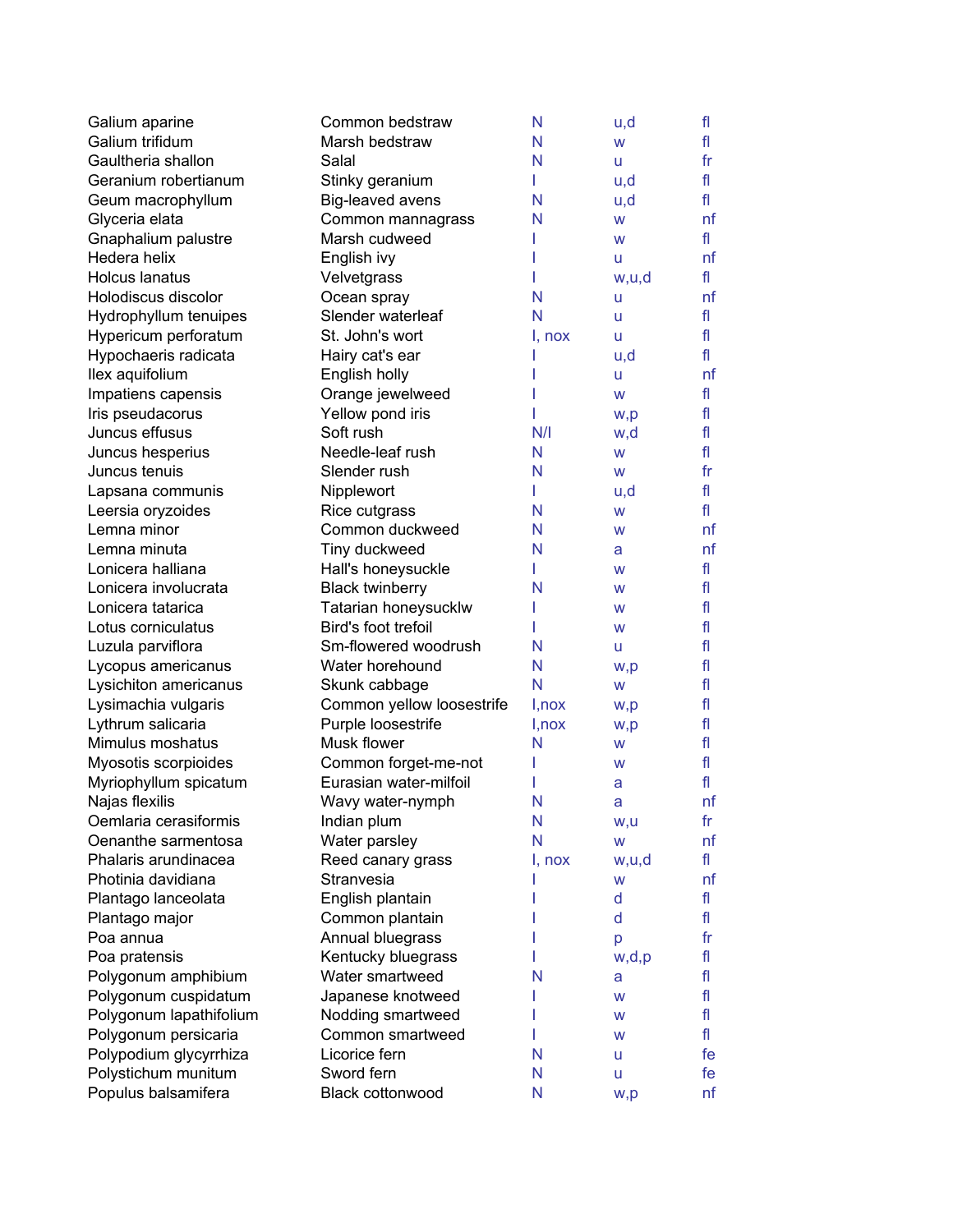| Galium aparine          | Common bedstraw           | N      | u,d   | fl             |
|-------------------------|---------------------------|--------|-------|----------------|
| Galium trifidum         | Marsh bedstraw            | N      | W     | fl             |
| Gaultheria shallon      | Salal                     | N      | u     | fr             |
| Geranium robertianum    | Stinky geranium           | L      | u,d   | fl             |
| Geum macrophyllum       | Big-leaved avens          | N      | u,d   | fl             |
| Glyceria elata          | Common mannagrass         | N      | W     | nf             |
| Gnaphalium palustre     | Marsh cudweed             |        | W     | fl             |
| Hedera helix            | English ivy               |        | u     | nf             |
| <b>Holcus lanatus</b>   | Velvetgrass               |        | w,u,d | fl             |
| Holodiscus discolor     | Ocean spray               | N      | u     | nf             |
| Hydrophyllum tenuipes   | Slender waterleaf         | N      | U     | fl             |
| Hypericum perforatum    | St. John's wort           | I, nox | U     | fl             |
| Hypochaeris radicata    | Hairy cat's ear           |        | u,d   | fl             |
| llex aquifolium         | English holly             |        | u     | nf             |
| Impatiens capensis      | Orange jewelweed          |        | W     | fl             |
| Iris pseudacorus        | Yellow pond iris          |        | w,p   | fl             |
| Juncus effusus          | Soft rush                 | N/I    | w,d   | fl             |
| Juncus hesperius        | Needle-leaf rush          | N      | W     | fl             |
| Juncus tenuis           | Slender rush              | N      | W     | fr             |
| Lapsana communis        | Nipplewort                | L      | u,d   | fl             |
| Leersia oryzoides       | Rice cutgrass             | N      | W     | fl             |
| Lemna minor             | Common duckweed           | N      | W     | nf             |
| Lemna minuta            | Tiny duckweed             | N      | a     | nf             |
| Lonicera halliana       | Hall's honeysuckle        |        | W     | fl             |
| Lonicera involucrata    | <b>Black twinberry</b>    | N      | W     | fl             |
| Lonicera tatarica       | Tatarian honeysucklw      |        | w     | fl             |
| Lotus corniculatus      | Bird's foot trefoil       |        | W     | fl             |
| Luzula parviflora       | Sm-flowered woodrush      | N      | u     | fl             |
| Lycopus americanus      | Water horehound           | N      | w,p   | fl             |
| Lysichiton americanus   | Skunk cabbage             | N      | W     | fl             |
| Lysimachia vulgaris     | Common yellow loosestrife | I,nox  | w,p   | fl             |
| Lythrum salicaria       | Purple loosestrife        | I,nox  | w,p   | fl             |
| Mimulus moshatus        | Musk flower               | N      | W     | fl             |
| Myosotis scorpioides    | Common forget-me-not      |        | W     | fl             |
| Myriophyllum spicatum   | Eurasian water-milfoil    |        | a     | fl             |
| Najas flexilis          | Wavy water-nymph          | N      | a     | nf             |
| Oemlaria cerasiformis   | Indian plum               | N      | w,u   | f <sub>r</sub> |
| Oenanthe sarmentosa     | Water parsley             | N      | W     | nf             |
| Phalaris arundinacea    | Reed canary grass         | I, nox | w,u,d | fl             |
| Photinia davidiana      | Stranvesia                |        | W     | nf             |
| Plantago lanceolata     | English plantain          |        | d     | fl             |
| Plantago major          | Common plantain           |        | d     | fl             |
| Poa annua               | Annual bluegrass          |        | p     | fr             |
| Poa pratensis           | Kentucky bluegrass        |        | w,d,p | fl             |
| Polygonum amphibium     | Water smartweed           | N      | a     | fl             |
| Polygonum cuspidatum    | Japanese knotweed         |        | W     | fl             |
| Polygonum lapathifolium | Nodding smartweed         |        | W     | fl             |
| Polygonum persicaria    | Common smartweed          |        | W     | fl             |
| Polypodium glycyrrhiza  | Licorice fern             | N      | u     | fe             |
| Polystichum munitum     | Sword fern                | N      | u     | fe             |
| Populus balsamifera     | Black cottonwood          | N      | w,p   | nf             |
|                         |                           |        |       |                |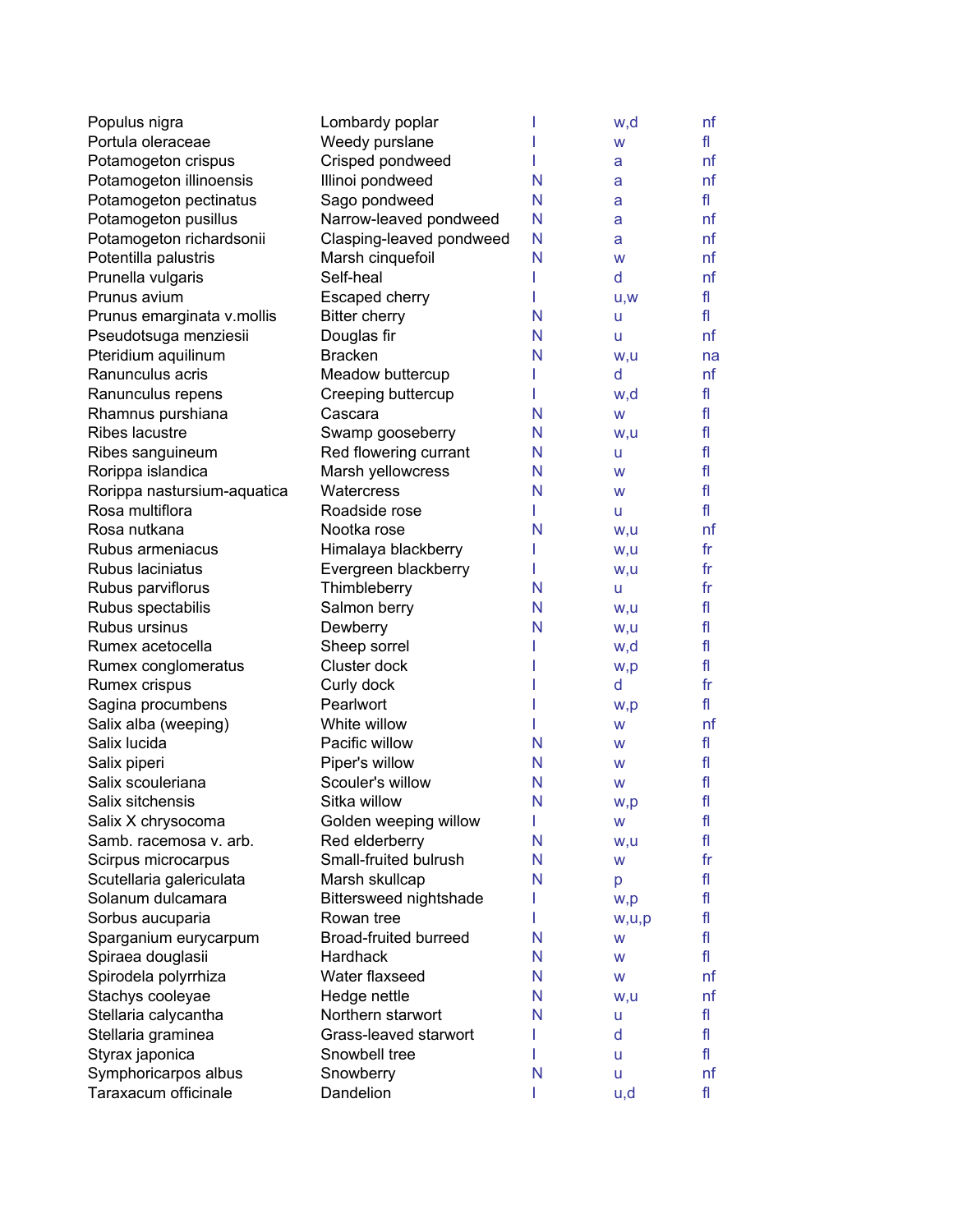| Populus nigra               | Lombardy poplar          |   | w,d   | nf             |
|-----------------------------|--------------------------|---|-------|----------------|
| Portula oleraceae           | Weedy purslane           |   | W     | fl             |
| Potamogeton crispus         | Crisped pondweed         |   | а     | nf             |
| Potamogeton illinoensis     | Illinoi pondweed         | N | а     | nf             |
| Potamogeton pectinatus      | Sago pondweed            | N | а     | fl             |
| Potamogeton pusillus        | Narrow-leaved pondweed   | N | a     | nf             |
| Potamogeton richardsonii    | Clasping-leaved pondweed | N | а     | nf             |
| Potentilla palustris        | Marsh cinquefoil         | N | W     | nf             |
| Prunella vulgaris           | Self-heal                |   | d     | nf             |
| Prunus avium                | Escaped cherry           |   | U, W  | fl             |
| Prunus emarginata v.mollis  | <b>Bitter cherry</b>     | N | u     | fl             |
| Pseudotsuga menziesii       | Douglas fir              | N | u     | nf             |
| Pteridium aquilinum         | <b>Bracken</b>           | N | w,u   | na             |
| Ranunculus acris            | Meadow buttercup         | L | d     | nf             |
| Ranunculus repens           | Creeping buttercup       | L | w,d   | fl             |
| Rhamnus purshiana           | Cascara                  | N | W     | fl             |
| Ribes lacustre              | Swamp gooseberry         | N | w,u   | fl             |
| Ribes sanguineum            | Red flowering currant    | N | u     | fl             |
| Rorippa islandica           | Marsh yellowcress        | N | W     | fl             |
| Rorippa nastursium-aquatica | <b>Watercress</b>        | N | W     | fl             |
| Rosa multiflora             | Roadside rose            | L | u     | fl             |
| Rosa nutkana                | Nootka rose              | N | w,u   | nf             |
| Rubus armeniacus            | Himalaya blackberry      | L | w,u   | fr             |
| Rubus laciniatus            | Evergreen blackberry     | L | w,u   | f <sub>r</sub> |
| Rubus parviflorus           | Thimbleberry             | N | u     | $f_{\Gamma}$   |
| Rubus spectabilis           | Salmon berry             | N | w,u   | fl             |
| Rubus ursinus               | Dewberry                 | N | w,u   | fl             |
| Rumex acetocella            | Sheep sorrel             |   | w,d   | fl             |
| Rumex conglomeratus         | Cluster dock             |   | w,p   | fl             |
| Rumex crispus               | Curly dock               |   | d     | f <sub>r</sub> |
| Sagina procumbens           | Pearlwort                |   | w,p   | fl             |
| Salix alba (weeping)        | White willow             |   | W     | nf             |
| Salix lucida                | Pacific willow           | N | W     | fl             |
| Salix piperi                | Piper's willow           | N | W     | fl             |
| Salix scouleriana           | Scouler's willow         | N | W     | fl             |
| Salix sitchensis            | Sitka willow             | N | w,p   | fl             |
| Salix X chrysocoma          | Golden weeping willow    | L | W     | fl             |
| Samb. racemosa v. arb.      | Red elderberry           | N | w,u   | fl             |
| Scirpus microcarpus         | Small-fruited bulrush    | N | W     | $f_{\Gamma}$   |
| Scutellaria galericulata    | Marsh skullcap           | N | р     | fl             |
| Solanum dulcamara           | Bittersweed nightshade   |   | w,p   | fl             |
| Sorbus aucuparia            | Rowan tree               | L | w,u,p | fl             |
| Sparganium eurycarpum       | Broad-fruited burreed    | N | W     | fl             |
| Spiraea douglasii           | Hardhack                 | N | W     | fl             |
| Spirodela polyrrhiza        | Water flaxseed           | N | W     | nf             |
| Stachys cooleyae            | Hedge nettle             | N | w,u   | nf             |
| Stellaria calycantha        | Northern starwort        | N | u     | fl             |
| Stellaria graminea          | Grass-leaved starwort    |   | d     | fl             |
| Styrax japonica             | Snowbell tree            |   | u     | fl.            |
| Symphoricarpos albus        | Snowberry                | N | u     | nf             |
| Taraxacum officinale        | Dandelion                |   | u,d   | fl             |
|                             |                          |   |       |                |